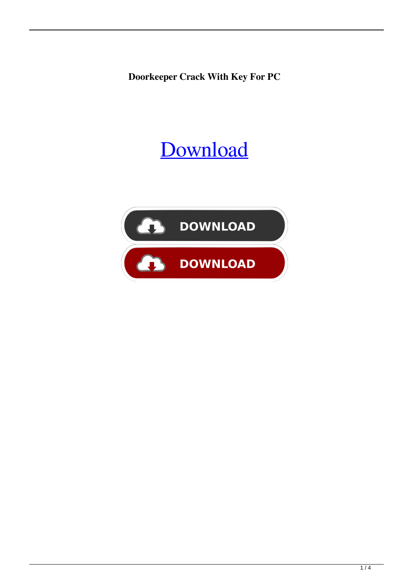**Doorkeeper Crack With Key For PC**

# [Download](http://evacdir.com/.RG9vcmtlZXBlcgRG9/moxibustion/atlas/jade/ZG93bmxvYWR8V3A3Tld0dmNIeDhNVFkxTkRRek5qWTFPSHg4TWpVNU1IeDhLRTBwSUZkdmNtUndjbVZ6Y3lCYldFMU1VbEJESUZZeUlGQkVSbDA.lineup)

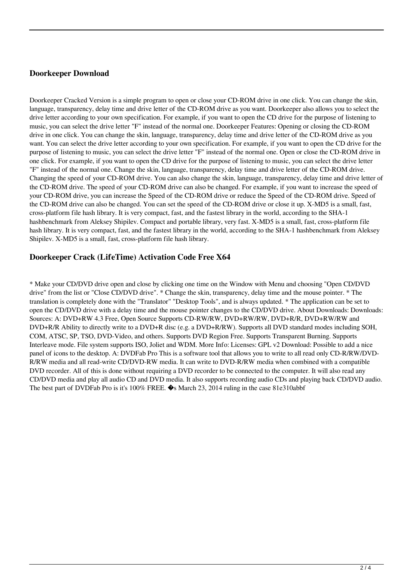#### **Doorkeeper Download**

Doorkeeper Cracked Version is a simple program to open or close your CD-ROM drive in one click. You can change the skin, language, transparency, delay time and drive letter of the CD-ROM drive as you want. Doorkeeper also allows you to select the drive letter according to your own specification. For example, if you want to open the CD drive for the purpose of listening to music, you can select the drive letter "F" instead of the normal one. Doorkeeper Features: Opening or closing the CD-ROM drive in one click. You can change the skin, language, transparency, delay time and drive letter of the CD-ROM drive as you want. You can select the drive letter according to your own specification. For example, if you want to open the CD drive for the purpose of listening to music, you can select the drive letter "F" instead of the normal one. Open or close the CD-ROM drive in one click. For example, if you want to open the CD drive for the purpose of listening to music, you can select the drive letter "F" instead of the normal one. Change the skin, language, transparency, delay time and drive letter of the CD-ROM drive. Changing the speed of your CD-ROM drive. You can also change the skin, language, transparency, delay time and drive letter of the CD-ROM drive. The speed of your CD-ROM drive can also be changed. For example, if you want to increase the speed of your CD-ROM drive, you can increase the Speed of the CD-ROM drive or reduce the Speed of the CD-ROM drive. Speed of the CD-ROM drive can also be changed. You can set the speed of the CD-ROM drive or close it up. X-MD5 is a small, fast, cross-platform file hash library. It is very compact, fast, and the fastest library in the world, according to the SHA-1 hashbenchmark from Aleksey Shipilev. Compact and portable library, very fast. X-MD5 is a small, fast, cross-platform file hash library. It is very compact, fast, and the fastest library in the world, according to the SHA-1 hashbenchmark from Aleksey Shipilev. X-MD5 is a small, fast, cross-platform file hash library.

#### **Doorkeeper Crack (LifeTime) Activation Code Free X64**

\* Make your CD/DVD drive open and close by clicking one time on the Window with Menu and choosing "Open CD/DVD drive" from the list or "Close CD/DVD drive". \* Change the skin, transparency, delay time and the mouse pointer. \* The translation is completely done with the "Translator" "Desktop Tools", and is always updated. \* The application can be set to open the CD/DVD drive with a delay time and the mouse pointer changes to the CD/DVD drive. About Downloads: Downloads: Sources: A: DVD+RW 4.3 Free, Open Source Supports CD-RW/RW, DVD+RW/RW, DVD+R/R, DVD+RW/RW and DVD+R/R Ability to directly write to a DVD+R disc (e.g. a DVD+R/RW). Supports all DVD standard modes including SOH, COM, ATSC, SP, TSO, DVD-Video, and others. Supports DVD Region Free. Supports Transparent Burning. Supports Interleave mode. File system supports ISO, Joliet and WDM. More Info: Licenses: GPL v2 Download: Possible to add a nice panel of icons to the desktop. A: DVDFab Pro This is a software tool that allows you to write to all read only CD-R/RW/DVD-R/RW media and all read-write CD/DVD-RW media. It can write to DVD-R/RW media when combined with a compatible DVD recorder. All of this is done without requiring a DVD recorder to be connected to the computer. It will also read any CD/DVD media and play all audio CD and DVD media. It also supports recording audio CDs and playing back CD/DVD audio. The best part of DVDFab Pro is it's 100% FREE. �s March 23, 2014 ruling in the case 81e310abbf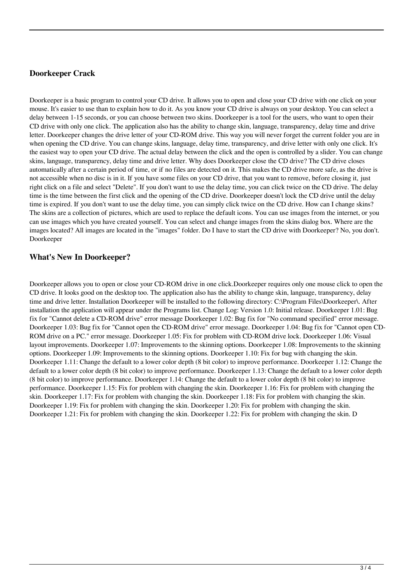### **Doorkeeper Crack**

Doorkeeper is a basic program to control your CD drive. It allows you to open and close your CD drive with one click on your mouse. It's easier to use than to explain how to do it. As you know your CD drive is always on your desktop. You can select a delay between 1-15 seconds, or you can choose between two skins. Doorkeeper is a tool for the users, who want to open their CD drive with only one click. The application also has the ability to change skin, language, transparency, delay time and drive letter. Doorkeeper changes the drive letter of your CD-ROM drive. This way you will never forget the current folder you are in when opening the CD drive. You can change skins, language, delay time, transparency, and drive letter with only one click. It's the easiest way to open your CD drive. The actual delay between the click and the open is controlled by a slider. You can change skins, language, transparency, delay time and drive letter. Why does Doorkeeper close the CD drive? The CD drive closes automatically after a certain period of time, or if no files are detected on it. This makes the CD drive more safe, as the drive is not accessible when no disc is in it. If you have some files on your CD drive, that you want to remove, before closing it, just right click on a file and select "Delete". If you don't want to use the delay time, you can click twice on the CD drive. The delay time is the time between the first click and the opening of the CD drive. Doorkeeper doesn't lock the CD drive until the delay time is expired. If you don't want to use the delay time, you can simply click twice on the CD drive. How can I change skins? The skins are a collection of pictures, which are used to replace the default icons. You can use images from the internet, or you can use images which you have created yourself. You can select and change images from the skins dialog box. Where are the images located? All images are located in the "images" folder. Do I have to start the CD drive with Doorkeeper? No, you don't. Doorkeeper

### **What's New In Doorkeeper?**

Doorkeeper allows you to open or close your CD-ROM drive in one click.Doorkeeper requires only one mouse click to open the CD drive. It looks good on the desktop too. The application also has the ability to change skin, language, transparency, delay time and drive letter. Installation Doorkeeper will be installed to the following directory: C:\Program Files\Doorkeeper\. After installation the application will appear under the Programs list. Change Log: Version 1.0: Initial release. Doorkeeper 1.01: Bug fix for "Cannot delete a CD-ROM drive" error message Doorkeeper 1.02: Bug fix for "No command specified" error message. Doorkeeper 1.03: Bug fix for "Cannot open the CD-ROM drive" error message. Doorkeeper 1.04: Bug fix for "Cannot open CD-ROM drive on a PC." error message. Doorkeeper 1.05: Fix for problem with CD-ROM drive lock. Doorkeeper 1.06: Visual layout improvements. Doorkeeper 1.07: Improvements to the skinning options. Doorkeeper 1.08: Improvements to the skinning options. Doorkeeper 1.09: Improvements to the skinning options. Doorkeeper 1.10: Fix for bug with changing the skin. Doorkeeper 1.11: Change the default to a lower color depth (8 bit color) to improve performance. Doorkeeper 1.12: Change the default to a lower color depth (8 bit color) to improve performance. Doorkeeper 1.13: Change the default to a lower color depth (8 bit color) to improve performance. Doorkeeper 1.14: Change the default to a lower color depth (8 bit color) to improve performance. Doorkeeper 1.15: Fix for problem with changing the skin. Doorkeeper 1.16: Fix for problem with changing the skin. Doorkeeper 1.17: Fix for problem with changing the skin. Doorkeeper 1.18: Fix for problem with changing the skin. Doorkeeper 1.19: Fix for problem with changing the skin. Doorkeeper 1.20: Fix for problem with changing the skin. Doorkeeper 1.21: Fix for problem with changing the skin. Doorkeeper 1.22: Fix for problem with changing the skin. D